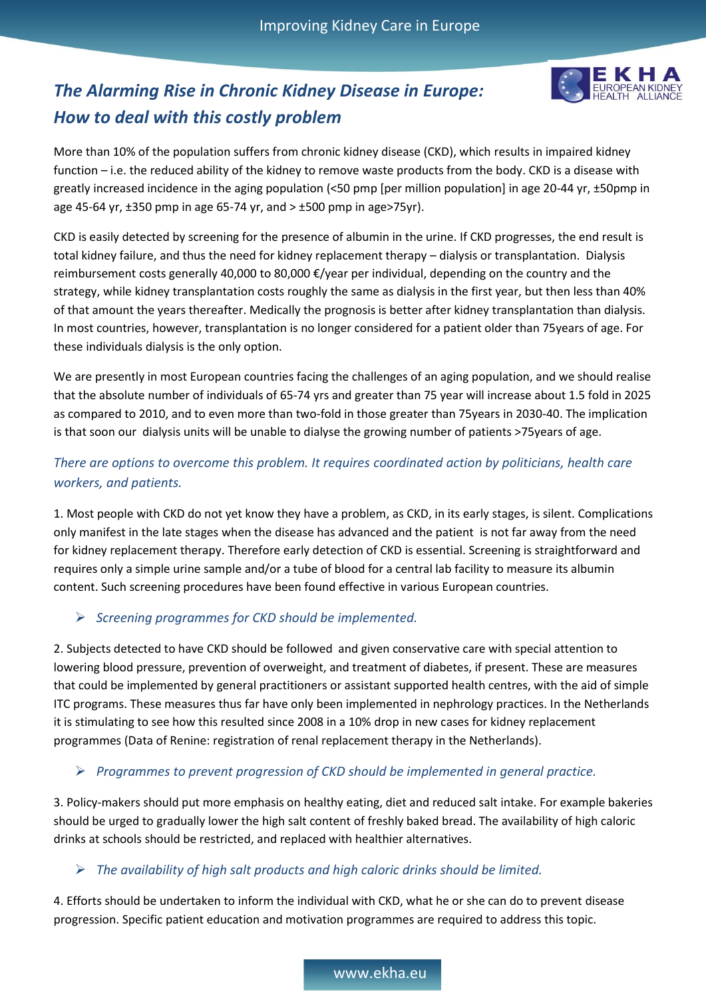

# *The Alarming Rise in Chronic Kidney Disease in Europe: How to deal with this costly problem*

More than 10% of the population suffers from chronic kidney disease (CKD), which results in impaired kidney function – i.e. the reduced ability of the kidney to remove waste products from the body. CKD is a disease with greatly increased incidence in the aging population (<50 pmp [per million population] in age 20-44 yr, ±50pmp in age 45-64 yr,  $\pm$ 350 pmp in age 65-74 yr, and  $> \pm$ 500 pmp in age>75yr).

CKD is easily detected by screening for the presence of albumin in the urine. If CKD progresses, the end result is total kidney failure, and thus the need for kidney replacement therapy – dialysis or transplantation. Dialysis reimbursement costs generally 40,000 to 80,000 €/year per individual, depending on the country and the strategy, while kidney transplantation costs roughly the same as dialysis in the first year, but then less than 40% of that amount the years thereafter. Medically the prognosis is better after kidney transplantation than dialysis. In most countries, however, transplantation is no longer considered for a patient older than 75years of age. For these individuals dialysis is the only option.

We are presently in most European countries facing the challenges of an aging population, and we should realise that the absolute number of individuals of 65-74 yrs and greater than 75 year will increase about 1.5 fold in 2025 as compared to 2010, and to even more than two-fold in those greater than 75years in 2030-40. The implication is that soon our dialysis units will be unable to dialyse the growing number of patients >75years of age.

## *There are options to overcome this problem. It requires coordinated action by politicians, health care workers, and patients.*

1. Most people with CKD do not yet know they have a problem, as CKD, in its early stages, is silent. Complications only manifest in the late stages when the disease has advanced and the patient is not far away from the need for kidney replacement therapy. Therefore early detection of CKD is essential. Screening is straightforward and requires only a simple urine sample and/or a tube of blood for a central lab facility to measure its albumin content. Such screening procedures have been found effective in various European countries.

## *Screening programmes for CKD should be implemented.*

2. Subjects detected to have CKD should be followed and given conservative care with special attention to lowering blood pressure, prevention of overweight, and treatment of diabetes, if present. These are measures that could be implemented by general practitioners or assistant supported health centres, with the aid of simple ITC programs. These measures thus far have only been implemented in nephrology practices. In the Netherlands it is stimulating to see how this resulted since 2008 in a 10% drop in new cases for kidney replacement programmes (Data of Renine: registration of renal replacement therapy in the Netherlands).

### *Programmes to prevent progression of CKD should be implemented in general practice.*

3. Policy-makers should put more emphasis on healthy eating, diet and reduced salt intake. For example bakeries should be urged to gradually lower the high salt content of freshly baked bread. The availability of high caloric drinks at schools should be restricted, and replaced with healthier alternatives.

### *The availability of high salt products and high caloric drinks should be limited.*

4. Efforts should be undertaken to inform the individual with CKD, what he or she can do to prevent disease progression. Specific patient education and motivation programmes are required to address this topic.